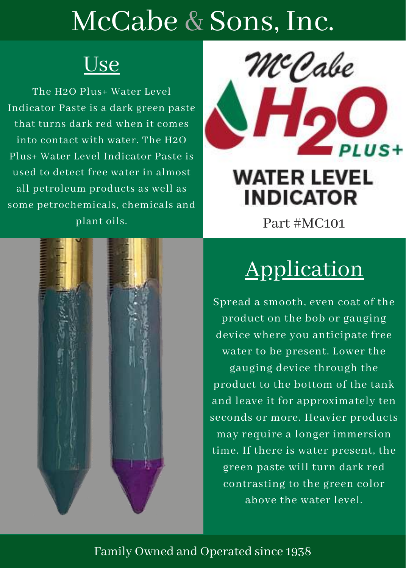## McCabe & Sons, Inc.

### <u>Use</u>

The H2O Plus+ Water Level Indicator Paste is a dark green paste that turns dark red when it comes into contact with water. The H2O Plus+ Water Level Indicator Paste is used to detect free water in almost all petroleum products as well as some petrochemicals, chemicals and plant oils.



### **WATER LEVEL INDICATOR**

Part #MC101



## Application

Spread a smooth, even coat of the product on the bob or gauging device where you anticipate free water to be present. Lower the gauging device through the product to the bottom of the tank and leave it for approximately ten seconds or more. Heavier products may require a longer immersion time. If there is water present, the green paste will turn dark red contrasting to the green color above the water level.

#### Family Owned and Operated since 1938